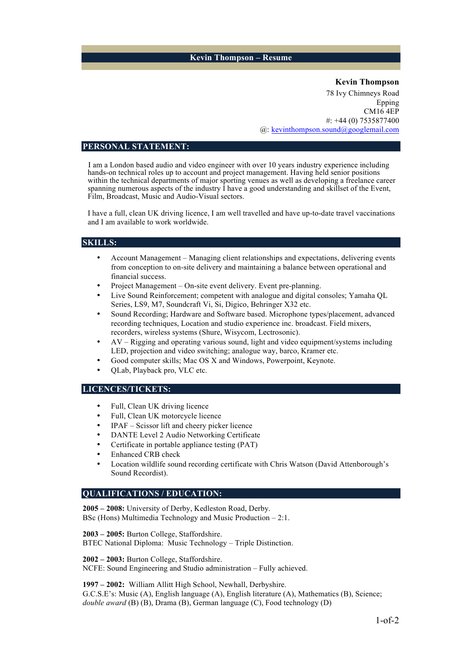## **Kevin Thompson – Resume**

**Kevin Thompson**  78 Ivy Chimneys Road Epping CM16 4EP #: +44 (0) 7535877400 @: kevinthompson.sound@googlemail.com

#### **PERSONAL STATEMENT:**

I am a London based audio and video engineer with over 10 years industry experience including hands-on technical roles up to account and project management. Having held senior positions within the technical departments of major sporting venues as well as developing a freelance career spanning numerous aspects of the industry  $\hat{I}$  have a good understanding and skillset of the Event, Film, Broadcast, Music and Audio-Visual sectors.

I have a full, clean UK driving licence, I am well travelled and have up-to-date travel vaccinations and I am available to work worldwide.

## **SKILLS:**

- Account Management Managing client relationships and expectations, delivering events from conception to on-site delivery and maintaining a balance between operational and financial success.
- Project Management On-site event delivery. Event pre-planning.
- Live Sound Reinforcement; competent with analogue and digital consoles; Yamaha QL Series, LS9, M7, Soundcraft Vi, Si, Digico, Behringer X32 etc.
- Sound Recording; Hardware and Software based. Microphone types/placement, advanced recording techniques, Location and studio experience inc. broadcast. Field mixers, recorders, wireless systems (Shure, Wisycom, Lectrosonic).
- AV Rigging and operating various sound, light and video equipment/systems including LED, projection and video switching; analogue way, barco, Kramer etc.
- Good computer skills; Mac OS X and Windows, Powerpoint, Keynote.
- QLab, Playback pro, VLC etc.

## **LICENCES/TICKETS:**

- Full, Clean UK driving licence
- Full, Clean UK motorcycle licence
- IPAF Scissor lift and cheery picker licence
- DANTE Level 2 Audio Networking Certificate
- Certificate in portable appliance testing (PAT)
- Enhanced CRB check
- Location wildlife sound recording certificate with Chris Watson (David Attenborough's Sound Recordist).

## **QUALIFICATIONS / EDUCATION:**

**2005 – 2008:** University of Derby, Kedleston Road, Derby. BSc (Hons) Multimedia Technology and Music Production – 2:1.

**2003 – 2005:** Burton College, Staffordshire.

BTEC National Diploma: Music Technology – Triple Distinction.

**2002 – 2003:** Burton College, Staffordshire.

NCFE: Sound Engineering and Studio administration – Fully achieved.

**1997 – 2002:** William Allitt High School, Newhall, Derbyshire. G.C.S.E's: Music (A), English language (A), English literature (A), Mathematics (B), Science; *double award* (B) (B), Drama (B), German language (C), Food technology (D)